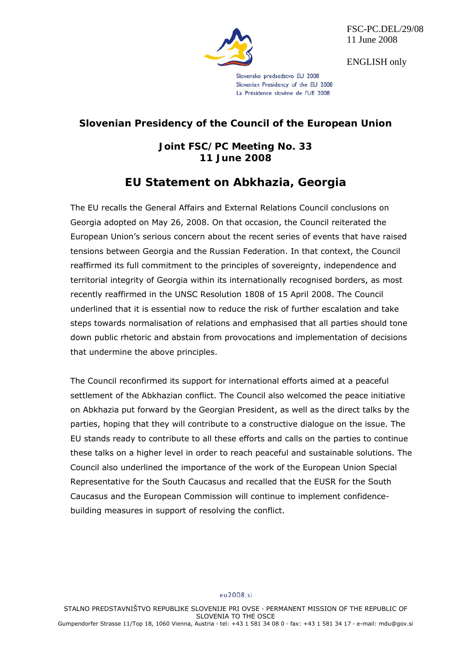

FSC-PC.DEL/29/08 11 June 2008

ENGLISH only

Slovensko predsedstvo EU 2008 Slovenian Presidency of the EU 2008 La Présidence slovène de l'UE 2008

# **Slovenian Presidency of the Council of the European Union**

# **Joint FSC/PC Meeting No. 33 11 June 2008**

# **EU Statement on Abkhazia, Georgia**

The EU recalls the General Affairs and External Relations Council conclusions on Georgia adopted on May 26, 2008. On that occasion, the Council reiterated the European Union's serious concern about the recent series of events that have raised tensions between Georgia and the Russian Federation. In that context, the Council reaffirmed its full commitment to the principles of sovereignty, independence and territorial integrity of Georgia within its internationally recognised borders, as most recently reaffirmed in the UNSC Resolution 1808 of 15 April 2008. The Council underlined that it is essential now to reduce the risk of further escalation and take steps towards normalisation of relations and emphasised that all parties should tone down public rhetoric and abstain from provocations and implementation of decisions that undermine the above principles.

The Council reconfirmed its support for international efforts aimed at a peaceful settlement of the Abkhazian conflict. The Council also welcomed the peace initiative on Abkhazia put forward by the Georgian President, as well as the direct talks by the parties, hoping that they will contribute to a constructive dialogue on the issue. The EU stands ready to contribute to all these efforts and calls on the parties to continue these talks on a higher level in order to reach peaceful and sustainable solutions. The Council also underlined the importance of the work of the European Union Special Representative for the South Caucasus and recalled that the EUSR for the South Caucasus and the European Commission will continue to implement confidencebuilding measures in support of resolving the conflict.

## eu2008.si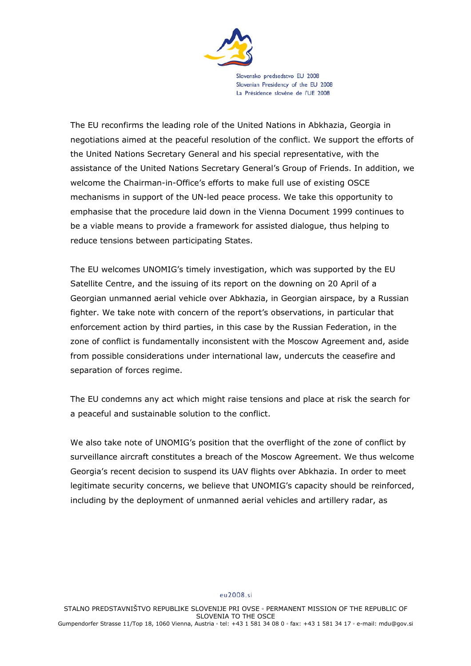

Slovensko predsedstvo EU 2008 Slovenian Presidency of the EU 2008 La Présidence slovène de l'UE 2008

The EU reconfirms the leading role of the United Nations in Abkhazia, Georgia in negotiations aimed at the peaceful resolution of the conflict. We support the efforts of the United Nations Secretary General and his special representative, with the assistance of the United Nations Secretary General's Group of Friends. In addition, we welcome the Chairman-in-Office's efforts to make full use of existing OSCE mechanisms in support of the UN-led peace process. We take this opportunity to emphasise that the procedure laid down in the Vienna Document 1999 continues to be a viable means to provide a framework for assisted dialogue, thus helping to reduce tensions between participating States.

The EU welcomes UNOMIG's timely investigation, which was supported by the EU Satellite Centre, and the issuing of its report on the downing on 20 April of a Georgian unmanned aerial vehicle over Abkhazia, in Georgian airspace, by a Russian fighter. We take note with concern of the report's observations, in particular that enforcement action by third parties, in this case by the Russian Federation, in the zone of conflict is fundamentally inconsistent with the Moscow Agreement and, aside from possible considerations under international law, undercuts the ceasefire and separation of forces regime.

The EU condemns any act which might raise tensions and place at risk the search for a peaceful and sustainable solution to the conflict.

We also take note of UNOMIG's position that the overflight of the zone of conflict by surveillance aircraft constitutes a breach of the Moscow Agreement. We thus welcome Georgia's recent decision to suspend its UAV flights over Abkhazia. In order to meet legitimate security concerns, we believe that UNOMIG's capacity should be reinforced, including by the deployment of unmanned aerial vehicles and artillery radar, as

## eu2008.si